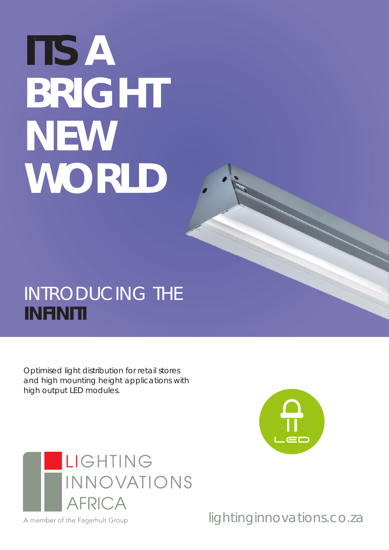# **ITS A BRIGHT NEW WORLD**

## INTRODUCING THE **INFINITI**

Optimised light distribution for retail stores and high mounting height applications with high output LED modules.





A member of the Fagerhult Group

lightinginnovations.co.za